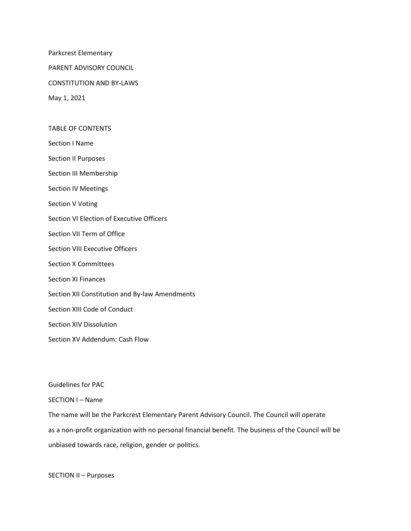Parkcrest Elementary

PARENT ADVISORY COUNCIL

CONSTITUTION AND BY-LAWS

May 1, 2021

TABLE OF CONTENTS

Section I Name

Section II Purposes

Section III Membership

Section IV Meetings

Section V Voting

Section VI Election of Executive Officers

Section VII Term of Office

Section VIII Executive Officers

Section X Committees

Section XI Finances

Section XII Constitution and By-law Amendments

Section XIII Code of Conduct

Section XIV Dissolution

Section XV Addendum: Cash Flow

Guidelines for PAC

SECTION I – Name

The name will be the Parkcrest Elementary Parent Advisory Council. The Council will operate as a non-profit organization with no personal financial benefit. The business of the Council will be unbiased towards race, religion, gender or politics.

SECTION II – Purposes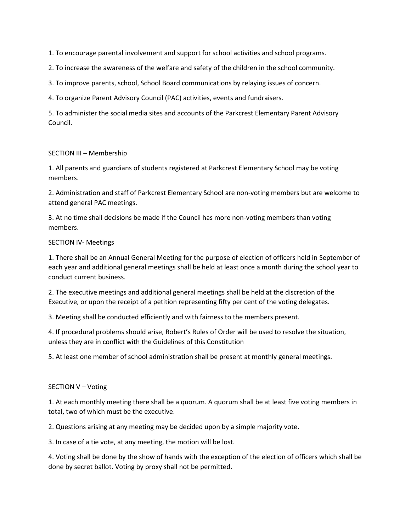1. To encourage parental involvement and support for school activities and school programs.

2. To increase the awareness of the welfare and safety of the children in the school community.

3. To improve parents, school, School Board communications by relaying issues of concern.

4. To organize Parent Advisory Council (PAC) activities, events and fundraisers.

5. To administer the social media sites and accounts of the Parkcrest Elementary Parent Advisory Council.

## SECTION III – Membership

1. All parents and guardians of students registered at Parkcrest Elementary School may be voting members.

2. Administration and staff of Parkcrest Elementary School are non-voting members but are welcome to attend general PAC meetings.

3. At no time shall decisions be made if the Council has more non-voting members than voting members.

## SECTION IV- Meetings

1. There shall be an Annual General Meeting for the purpose of election of officers held in September of each year and additional general meetings shall be held at least once a month during the school year to conduct current business.

2. The executive meetings and additional general meetings shall be held at the discretion of the Executive, or upon the receipt of a petition representing fifty per cent of the voting delegates.

3. Meeting shall be conducted efficiently and with fairness to the members present.

4. If procedural problems should arise, Robert's Rules of Order will be used to resolve the situation, unless they are in conflict with the Guidelines of this Constitution

5. At least one member of school administration shall be present at monthly general meetings.

## SECTION V – Voting

1. At each monthly meeting there shall be a quorum. A quorum shall be at least five voting members in total, two of which must be the executive.

2. Questions arising at any meeting may be decided upon by a simple majority vote.

3. In case of a tie vote, at any meeting, the motion will be lost.

4. Voting shall be done by the show of hands with the exception of the election of officers which shall be done by secret ballot. Voting by proxy shall not be permitted.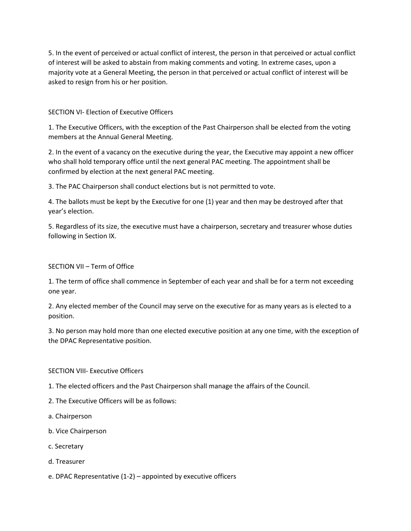5. In the event of perceived or actual conflict of interest, the person in that perceived or actual conflict of interest will be asked to abstain from making comments and voting. In extreme cases, upon a majority vote at a General Meeting, the person in that perceived or actual conflict of interest will be asked to resign from his or her position.

## SECTION VI- Election of Executive Officers

1. The Executive Officers, with the exception of the Past Chairperson shall be elected from the voting members at the Annual General Meeting.

2. In the event of a vacancy on the executive during the year, the Executive may appoint a new officer who shall hold temporary office until the next general PAC meeting. The appointment shall be confirmed by election at the next general PAC meeting.

3. The PAC Chairperson shall conduct elections but is not permitted to vote.

4. The ballots must be kept by the Executive for one (1) year and then may be destroyed after that year's election.

5. Regardless of its size, the executive must have a chairperson, secretary and treasurer whose duties following in Section IX.

## SECTION VII – Term of Office

1. The term of office shall commence in September of each year and shall be for a term not exceeding one year.

2. Any elected member of the Council may serve on the executive for as many years as is elected to a position.

3. No person may hold more than one elected executive position at any one time, with the exception of the DPAC Representative position.

## SECTION VIII- Executive Officers

- 1. The elected officers and the Past Chairperson shall manage the affairs of the Council.
- 2. The Executive Officers will be as follows:
- a. Chairperson
- b. Vice Chairperson
- c. Secretary
- d. Treasurer
- e. DPAC Representative (1-2) appointed by executive officers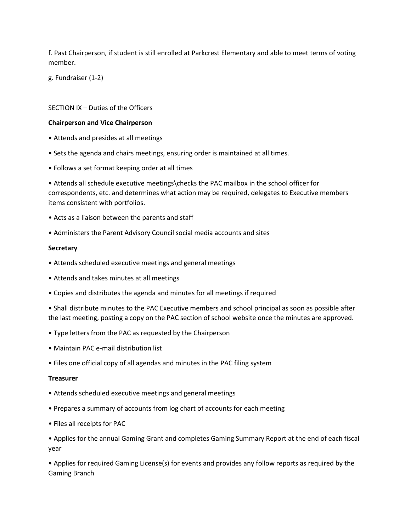f. Past Chairperson, if student is still enrolled at Parkcrest Elementary and able to meet terms of voting member.

g. Fundraiser (1-2)

## SECTION IX – Duties of the Officers

#### **Chairperson and Vice Chairperson**

- Attends and presides at all meetings
- Sets the agenda and chairs meetings, ensuring order is maintained at all times.
- Follows a set format keeping order at all times

• Attends all schedule executive meetings\checks the PAC mailbox in the school officer for correspondents, etc. and determines what action may be required, delegates to Executive members items consistent with portfolios.

- Acts as a liaison between the parents and staff
- Administers the Parent Advisory Council social media accounts and sites

#### **Secretary**

- Attends scheduled executive meetings and general meetings
- Attends and takes minutes at all meetings
- Copies and distributes the agenda and minutes for all meetings if required
- Shall distribute minutes to the PAC Executive members and school principal as soon as possible after the last meeting, posting a copy on the PAC section of school website once the minutes are approved.
- Type letters from the PAC as requested by the Chairperson
- Maintain PAC e-mail distribution list
- Files one official copy of all agendas and minutes in the PAC filing system

#### **Treasurer**

- Attends scheduled executive meetings and general meetings
- Prepares a summary of accounts from log chart of accounts for each meeting
- Files all receipts for PAC

• Applies for the annual Gaming Grant and completes Gaming Summary Report at the end of each fiscal year

• Applies for required Gaming License(s) for events and provides any follow reports as required by the Gaming Branch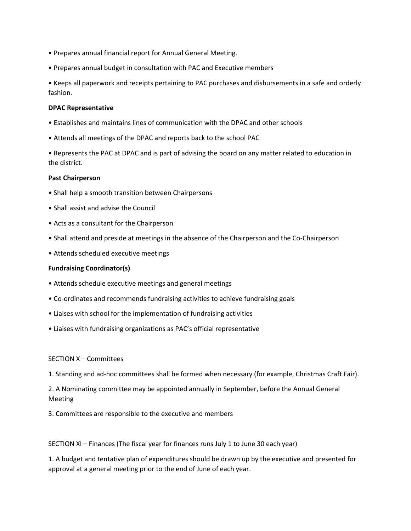- Prepares annual financial report for Annual General Meeting.
- Prepares annual budget in consultation with PAC and Executive members

• Keeps all paperwork and receipts pertaining to PAC purchases and disbursements in a safe and orderly fashion.

#### **DPAC Representative**

- Establishes and maintains lines of communication with the DPAC and other schools
- Attends all meetings of the DPAC and reports back to the school PAC

• Represents the PAC at DPAC and is part of advising the board on any matter related to education in the district.

#### **Past Chairperson**

- Shall help a smooth transition between Chairpersons
- Shall assist and advise the Council
- Acts as a consultant for the Chairperson
- Shall attend and preside at meetings in the absence of the Chairperson and the Co-Chairperson
- Attends scheduled executive meetings

#### **Fundraising Coordinator(s)**

- Attends schedule executive meetings and general meetings
- Co-ordinates and recommends fundraising activities to achieve fundraising goals
- Liaises with school for the implementation of fundraising activities
- Liaises with fundraising organizations as PAC's official representative

## SECTION X – Committees

1. Standing and ad-hoc committees shall be formed when necessary (for example, Christmas Craft Fair).

2. A Nominating committee may be appointed annually in September, before the Annual General Meeting

3. Committees are responsible to the executive and members

SECTION XI – Finances (The fiscal year for finances runs July 1 to June 30 each year)

1. A budget and tentative plan of expenditures should be drawn up by the executive and presented for approval at a general meeting prior to the end of June of each year.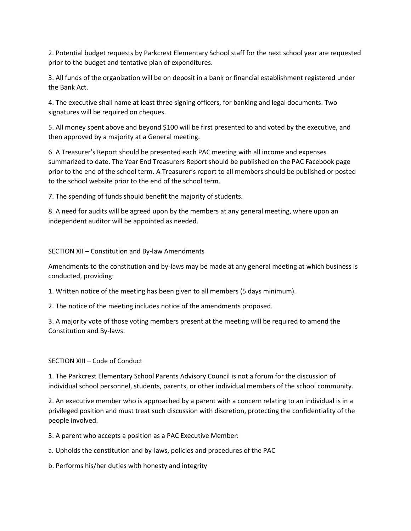2. Potential budget requests by Parkcrest Elementary School staff for the next school year are requested prior to the budget and tentative plan of expenditures.

3. All funds of the organization will be on deposit in a bank or financial establishment registered under the Bank Act.

4. The executive shall name at least three signing officers, for banking and legal documents. Two signatures will be required on cheques.

5. All money spent above and beyond \$100 will be first presented to and voted by the executive, and then approved by a majority at a General meeting.

6. A Treasurer's Report should be presented each PAC meeting with all income and expenses summarized to date. The Year End Treasurers Report should be published on the PAC Facebook page prior to the end of the school term. A Treasurer's report to all members should be published or posted to the school website prior to the end of the school term.

7. The spending of funds should benefit the majority of students.

8. A need for audits will be agreed upon by the members at any general meeting, where upon an independent auditor will be appointed as needed.

## SECTION XII – Constitution and By-law Amendments

Amendments to the constitution and by-laws may be made at any general meeting at which business is conducted, providing:

1. Written notice of the meeting has been given to all members (5 days minimum).

2. The notice of the meeting includes notice of the amendments proposed.

3. A majority vote of those voting members present at the meeting will be required to amend the Constitution and By-laws.

# SECTION XIII – Code of Conduct

1. The Parkcrest Elementary School Parents Advisory Council is not a forum for the discussion of individual school personnel, students, parents, or other individual members of the school community.

2. An executive member who is approached by a parent with a concern relating to an individual is in a privileged position and must treat such discussion with discretion, protecting the confidentiality of the people involved.

3. A parent who accepts a position as a PAC Executive Member:

a. Upholds the constitution and by-laws, policies and procedures of the PAC

b. Performs his/her duties with honesty and integrity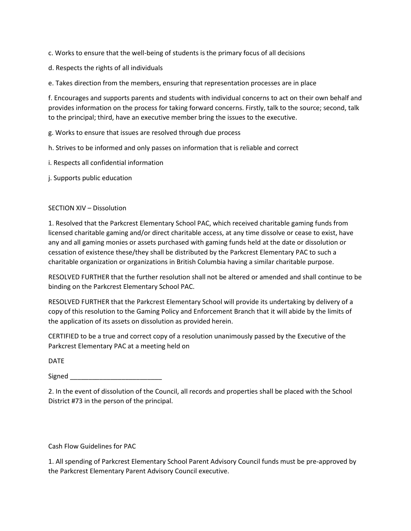c. Works to ensure that the well-being of students is the primary focus of all decisions

d. Respects the rights of all individuals

e. Takes direction from the members, ensuring that representation processes are in place

f. Encourages and supports parents and students with individual concerns to act on their own behalf and provides information on the process for taking forward concerns. Firstly, talk to the source; second, talk to the principal; third, have an executive member bring the issues to the executive.

g. Works to ensure that issues are resolved through due process

h. Strives to be informed and only passes on information that is reliable and correct

i. Respects all confidential information

j. Supports public education

## SECTION XIV – Dissolution

1. Resolved that the Parkcrest Elementary School PAC, which received charitable gaming funds from licensed charitable gaming and/or direct charitable access, at any time dissolve or cease to exist, have any and all gaming monies or assets purchased with gaming funds held at the date or dissolution or cessation of existence these/they shall be distributed by the Parkcrest Elementary PAC to such a charitable organization or organizations in British Columbia having a similar charitable purpose.

RESOLVED FURTHER that the further resolution shall not be altered or amended and shall continue to be binding on the Parkcrest Elementary School PAC.

RESOLVED FURTHER that the Parkcrest Elementary School will provide its undertaking by delivery of a copy of this resolution to the Gaming Policy and Enforcement Branch that it will abide by the limits of the application of its assets on dissolution as provided herein.

CERTIFIED to be a true and correct copy of a resolution unanimously passed by the Executive of the Parkcrest Elementary PAC at a meeting held on

DATE

Signed

2. In the event of dissolution of the Council, all records and properties shall be placed with the School District #73 in the person of the principal.

Cash Flow Guidelines for PAC

1. All spending of Parkcrest Elementary School Parent Advisory Council funds must be pre-approved by the Parkcrest Elementary Parent Advisory Council executive.